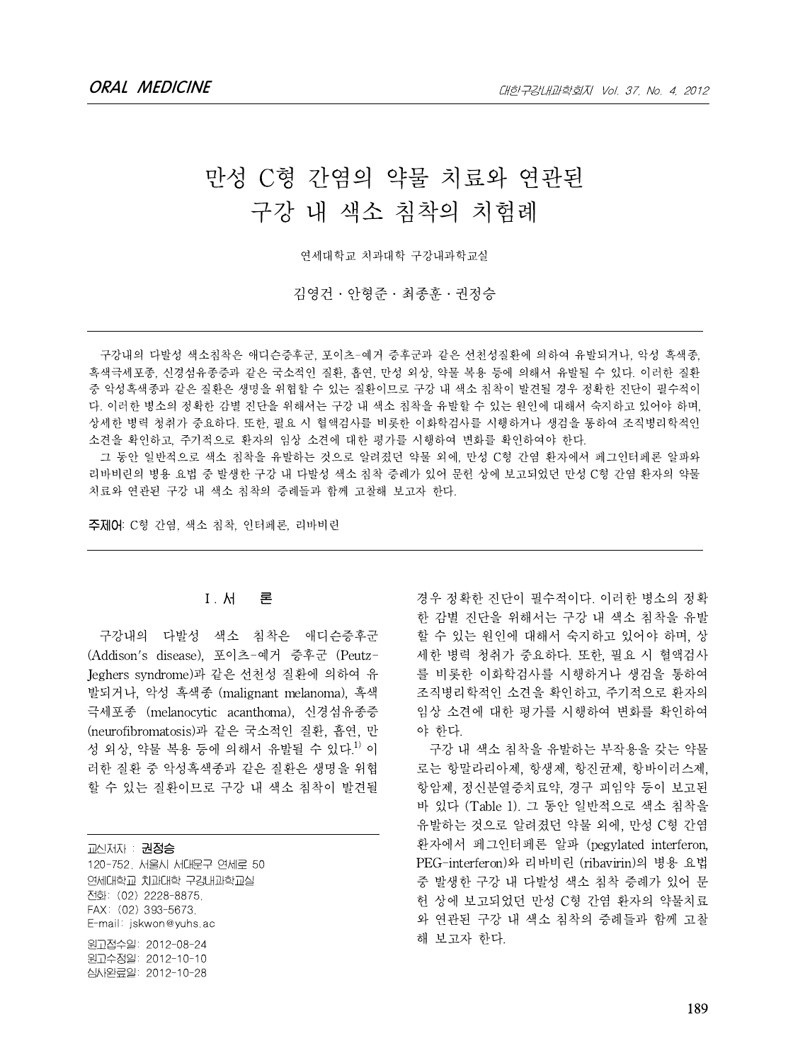# 만성 C형 간염의 약물 치료와 연관된 구강 내 색소 침착의 치험례

연세대학교 치과대학 구강내과학교실

김영건․안형준․최종훈․권정승

구강내의 다발성 색소침착은 애디슨증후군, 포이츠-예거 증후군과 같은 선천성질환에 의하여 유발되거나, 악성 흑색종, 흑색극세포종, 신경섬유종증과 같은 국소적인 질환, 흡연, 만성 외상, 약물 복용 등에 의해서 유발될 수 있다. 이러한 질환 중 악성흑색종과 같은 질환은 생명을 위협할 수 있는 질환이므로 구강 내 색소 침착이 발견될 경우 정확한 진단이 필수적이 다. 이러한 병소의 정확한 감별 진단을 위해서는 구강 내 색소 침착을 유발할 수 있는 원인에 대해서 숙지하고 있어야 하며, 상세한 병력 청취가 중요하다. 또한, 필요 시 혈액검사를 비롯한 이화학검사를 시행하거나 생검을 통하여 조직병리학적인 소견을 확인하고, 주기적으로 환자의 임상 소견에 대한 평가를 시행하여 변화를 확인하여야 한다.

그 동안 일반적으로 색소 침착을 유발하는 것으로 알려졌던 약물 외에, 만성 C형 간염 환자에서 페그인터페론 알파와 리바비린의 병용 요법 중 발생한 구강 내 다발성 색소 침착 증례가 있어 문헌 상에 보고되었던 만성 C형 간염 환자의 약물 치료와 연관된 구강 내 색소 침착의 증례들과 함께 고찰해 보고자 한다.

주제어: C형 간염, 색소 침착, 인터페론, 리바비린

## 1)Ⅰ. 서 론

구강내의 다발성 색소 침착은 애디슨증후군 (Addison's disease), 포이츠-예거 증후군 (Peutz-Jeghers syndrome)과 같은 선천성 질환에 의하여 유 발되거나, 악성 흑색종 (malignant melanoma), 흑색 극세포종 (melanocytic acanthoma), 신경섬유종증 (neurofibromatosis)과 같은 국소적인 질환, 흡연, 만 성 외상, 약물 복용 등에 의해서 유발될 수 있다.<sup>1)</sup> 이 러한 질환 중 악성흑색종과 같은 질환은 생명을 위협 할 수 있는 질환이므로 구강 내 색소 침착이 발견될

교신저자 : 권정승 120-752, 서울시 서대문구 연세로 50 연세대학교 치과대학 구강내과학교실 전화: (02) 2228-8875, FAX: (02) 393-5673, E-mail: jskwon@yuhs.ac 원고접수일: 2012-08-24 원고수정일: 2012-10-10 심사완료일: 2012-10-28

경우 정확한 진단이 필수적이다. 이러한 병소의 정확 한 감별 진단을 위해서는 구강 내 색소 침착을 유발 할 수 있는 워이에 대해서 숙지하고 있어야 하며, 상 세한 병력 청취가 중요하다. 또한, 필요 시 혈액검사 를 비롯한 이화학검사를 시행하거나 생검을 통하여 조직병리학적인 소견을 확인하고, 주기적으로 환자의 임상 소견에 대한 평가를 시행하여 변화를 확인하여 야 한다.

구강 내 색소 침착을 유발하는 부작용을 갖는 약물 로는 항말라리아제, 항생제, 항진균제, 항바이러스제, 항암제, 정신분열증치료약, 경구 피임약 등이 보고된 바 있다 (Table 1). 그 동안 일반적으로 색소 침착을 유발하는 것으로 알려졌던 약물 외에, 만성 C형 간염 환자에서 페그인터페론 알파 (pegylated interferon, PEG-interferon)와 리바비린 (ribavirin)의 병용 요법 중 발생한 구강 내 다발성 색소 침착 증례가 있어 문 헌 상에 보고되었던 만성 C형 간염 환자의 약물치료 와 연관된 구강 내 색소 침착의 증례들과 함께 고찰 해 보고자 한다.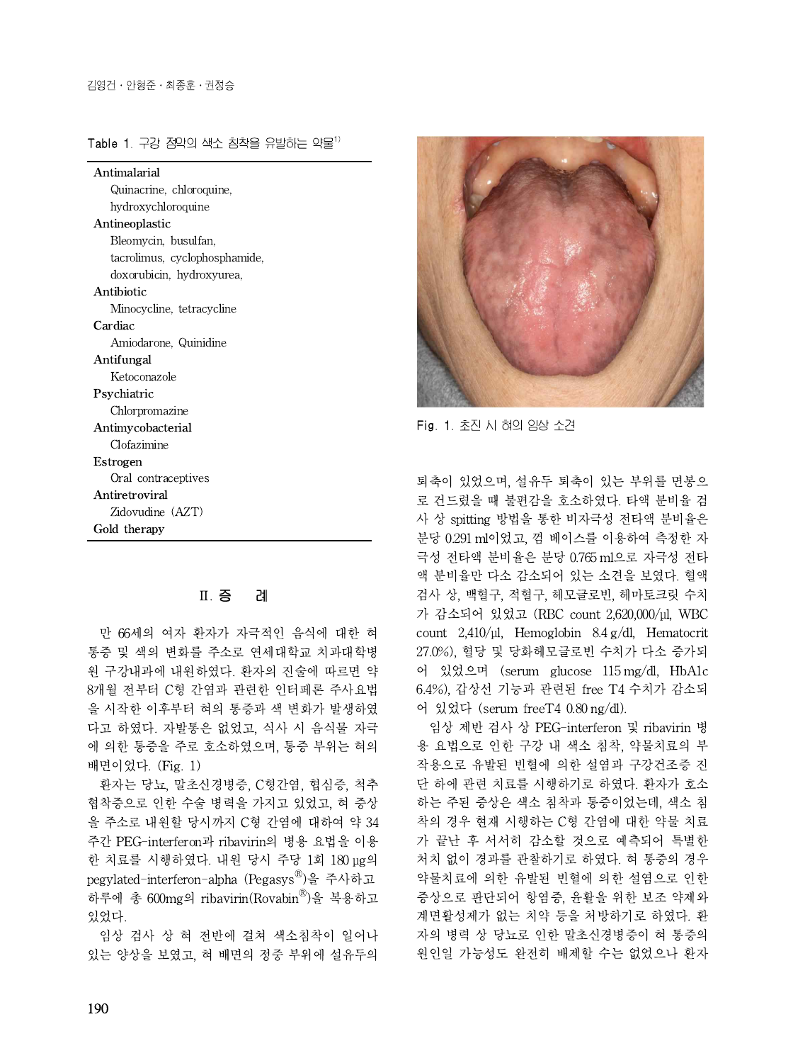Table 1. 구강 점막의 색소 침착을 유발하는 약물 $^{1)}$ 

| Antimalarial                  |
|-------------------------------|
| Quinacrine, chloroquine,      |
| hydroxychloroquine            |
| Antineoplastic                |
| Bleomycin, busulfan,          |
| tacrolimus, cyclophosphamide, |
| doxorubicin, hydroxyurea,     |
| Antibiotic                    |
| Minocycline, tetracycline     |
| Cardiac                       |
| Amiodarone, Quinidine         |
| Antifungal                    |
| Ketoconazole                  |
| Psychiatric                   |
| Chlorpromazine                |
| Antimycobacterial             |
| Clofazimine                   |
| Estrogen                      |
| Oral contraceptives           |
| Antiretroviral                |
| Zidovudine (AZT)              |
| Gold therapy                  |

# Ⅱ. 증 례

만 66세의 여자 환자가 자극적인 음식에 대한 혀 통증 및 색의 변화를 주소로 연세대학교 치과대학병 원 구강내과에 내원하였다. 환자의 진술에 따르면 약 8개월 전부터 C형 간염과 관련한 인터페론 주사요법 을 시작한 이후부터 혀의 통증과 색 변화가 발생하였 다고 하였다. 자발통은 없었고, 식사 시 음식물 자극 에 의한 통증을 주로 호소하였으며, 통증 부위는 혀의 배면이었다. (Fig. 1)

환자는 당뇨, 말초신경병증, C형간염, 협심증, 척추 협착증으로 인한 수술 병력을 가지고 있었고, 혀 증상 을 주소로 내원할 당시까지 C형 간염에 대하여 약 34 주간 PEG-interferon과 ribavirin의 병용 요법을 이용 한 치료를 시행하였다. 내원 당시 주당 1회 180 μg의 pegylated-interferon-alpha (Pegasys<sup>®</sup>)을 주사하고 약물치료이 하루에 총 600mg의 ribavirin(Rovabin®)을 복용하고 증상으로 ξ 있었다.

임상 검사 상 혀 전반에 걸쳐 색소침착이 일어나 있는 양상을 보였고, 혀 배면의 정중 부위에 설유두의



Fig. 1. 초진 시 혀의 임상 소견

퇴축이 있었으며, 설유두 퇴축이 있는 부위를 면봉으 로 건드렸을 때 불편감을 호소하였다. 타액 분비율 검 사 상 spitting 방법을 통한 비자극성 전타액 분비율은 분당 0.291 ml이었고, 껌 베이스를 이용하여 측정한 자 극성 전타액 분비율은 분당 0.765 ml으로 자극성 전타 액 분비율만 다소 감소되어 있는 소견을 보였다. 혈액 검사 상, 백혈구, 적혈구, 헤모글로빈, 헤마토크릿 수치 가 감소되어 있었고 (RBC count 2,620,000/μl, WBC count 2,410/μl, Hemoglobin 8.4 g/dl, Hematocrit 27.0%), 혈당 및 당화헤모글로빈 수치가 다소 증가되 어 있었으며 (serum glucose 115 mg/dl, HbA1c 6.4%), 갑상선 기능과 관련된 free T4 수치가 감소되 어 있었다 (serum freeT4 0.80 ng/dl).

임상 제반 검사 상 PEG-interferon 및 ribavirin 병 용 요법으로 인한 구강 내 색소 침착, 약물치료의 부 작용으로 유발된 빈혈에 의한 설염과 구강건조증 진 단 하에 관련 치료를 시행하기로 하였다. 환자가 호소 하는 주된 증상은 색소 침착과 통증이었는데, 색소 침 착의 경우 현재 시행하는 C형 간염에 대한 약물 치료 가 끝난 후 서서히 감소할 것으로 예측되어 특별한 처치 없이 경과를 관찰하기로 하였다. 혀 통증의 경우 약물치료에 의한 유발된 빈혈에 의한 설염으로 인한 증상으로 판단되어 항염증, 윤활을 위한 보조 약제와 계면활성제가 없는 치약 등을 처방하기로 하였다. 환 자의 병력 상 당뇨로 인한 말초신경병증이 혀 통증의 원인일 가능성도 완전히 배제할 수는 없었으나 환자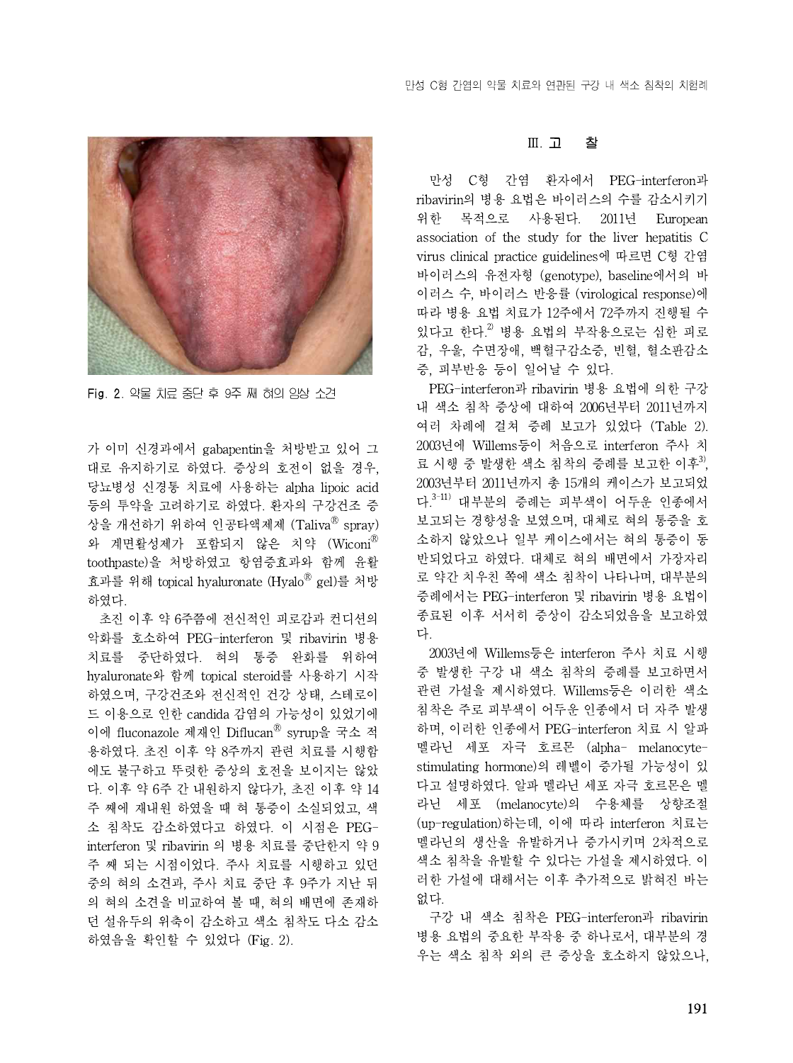

Fig. 2. 약물 치료 중단 후 9주 째 혀의 임상 소견

가 이미 신경과에서 gabapentin을 처방받고 있어 그 대로 유지하기로 하였다. 증상의 호전이 없을 경우, 당뇨병성 신경통 치료에 사용하는 alpha lipoic acid 등의 투약을 고려하기로 하였다. 환자의 구강건조 증 상을 개선하기 위하여 인공타액제제 (Taliva<sup>®</sup> spray) 와 계면활성제가 포함되지 않은 치약 (Wiconi® toothpaste)을 처방하였고 항염증효과와 함께 윤활 효과를 위해 topical hyaluronate (Hyalo® gel)를 처방 <sup>로 약간 치·</sup> 하였다.

초진 이후 약 6주쯤에 전신적인 피로감과 컨디션의 악화를 호소하여 PEG-interferon 및 ribavirin 병용 치료를 중단하였다. 혀의 통증 완화를 위하여 hvaluronate와 함께 topical steroid를 사용하기 시작 하였으며, 구강건조와 전신적인 건강 상태, 스테로이 드 이용으로 인한 candida 감염의 가능성이 있었기에 이에 fluconazole 제재인 Diflucan® syrup을 국소 적 <sup>하며, 이러</sub></sup> 용하였다. 초진 이후 약 8주까지 관련 치료를 시행함 에도 불구하고 뚜렷한 증상의 호전을 보이지는 않았 다. 이후 약 6주 간 내원하지 않다가, 초진 이후 약 14 주 째에 재내원 하였을 때 혀 통증이 소실되었고, 색 소 침착도 감소하였다고 하였다. 이 시점은 PEGinterferon 및 ribavirin 의 병용 치료를 중단한지 약 9 주 째 되는 시점이었다. 주사 치료를 시행하고 있던 중의 혀의 소견과,주사 치료 중단 후 9주가 지난 뒤 의 혀의 소견을 비교하여 볼 때, 혀의 배면에 존재하 던 설유두의 위축이 감소하고 색소 침착도 다소 감소 하였음을 확인할 수 있었다 (Fig.2).

#### Ⅲ. 고 찰

만성 C형 간염 환자에서 PEG-interferon과 ribavirin의 병용 요법은 바이러스의 수를 감소시키기 위한 목적으로 사용된다. 2011년 European association of the study for the liver hepatitis C virus clinical practice guidelines에 따르면 C형 간염 바이러스의 유전자형 (genotype), baseline에서의 바 이러스 수, 바이러스 반응률 (virological response)에 따라 병용 요법 치료가 12주에서 72주까지 진행될 수 있다고 한다.<sup>2)</sup> 병용 요법의 부작용으로는 심한 피로 감, 우울, 수면장애, 백혈구감소증, 빈혈, 혈소판감소 증, 피부반응 등이 일어날 수 있다.

PEG-interferon과 ribavirin 병용 요법에 의한 구강 내 색소 침착 증상에 대하여 2006년부터 2011년까지 여러 차례에 걸쳐 증례 보고가 있었다 (Table 2). 2003년에 Willems등이 처음으로 interferon 주사 치 료 시행 중 발생한 색소 침착의 증례를 보고한 이후<sup>3)</sup>, 2003년부터 2011년까지 총 15개의 케이스가 보고되었 다.<sup>3-11)</sup> 대부분의 증례는 피부색이 어두운 인종에서 보고되는 경향성을 보였으며, 대체로 혀의 통증을 호 소하지 않았으나 일부 케이스에서는 혀의 통증이 동 반되었다고 하였다. 대체로 혀의 배면에서 가장자리 로 약간 치우친 쪽에 색소 침착이 나타나며, 대부분의 증례에서는 PEG-interferon 및 ribavirin 병용 요법이 종료된 이후 서서히 증상이 감소되었음을 보고하였 다.

2003년에 Willems등은 interferon 주사 치료 시행 중 발생한 구강 내 색소 침착의 증례를 보고하면서 관련 가설을 제시하였다. Willems등은 이러한 색소 침착은 주로 피부색이 어두운 인종에서 더 자주 발생 하며, 이러한 인종에서 PEG-interferon 치료 시 알파 멜라닌 세포 자극 호르몬 (alpha- melanocytestimulating hormone)의 레벨이 증가될 가능성이 있 다고 설명하였다. 알파 멜라닌 세포 자극 호르몬은 멜 라닌 세포 (melanocyte)의 수용체를 상향조절 (up-regulation)하는데, 이에 따라 interferon 치료는 멜라닌의 생산을 유발하거나 증가시키며 2차적으로 색소 침착을 유발할 수 있다는 가설을 제시하였다. 이 러한 가설에 대해서는 이후 추가적으로 밝혀진 바는 없다.

구강 내 색소 침착은 PEG-interferon과 ribavirin 병용 요법의 중요한 부작용 중 하나로서, 대부분의 경 우는 색소 침착 외의 큰 증상을 호소하지 않았으나,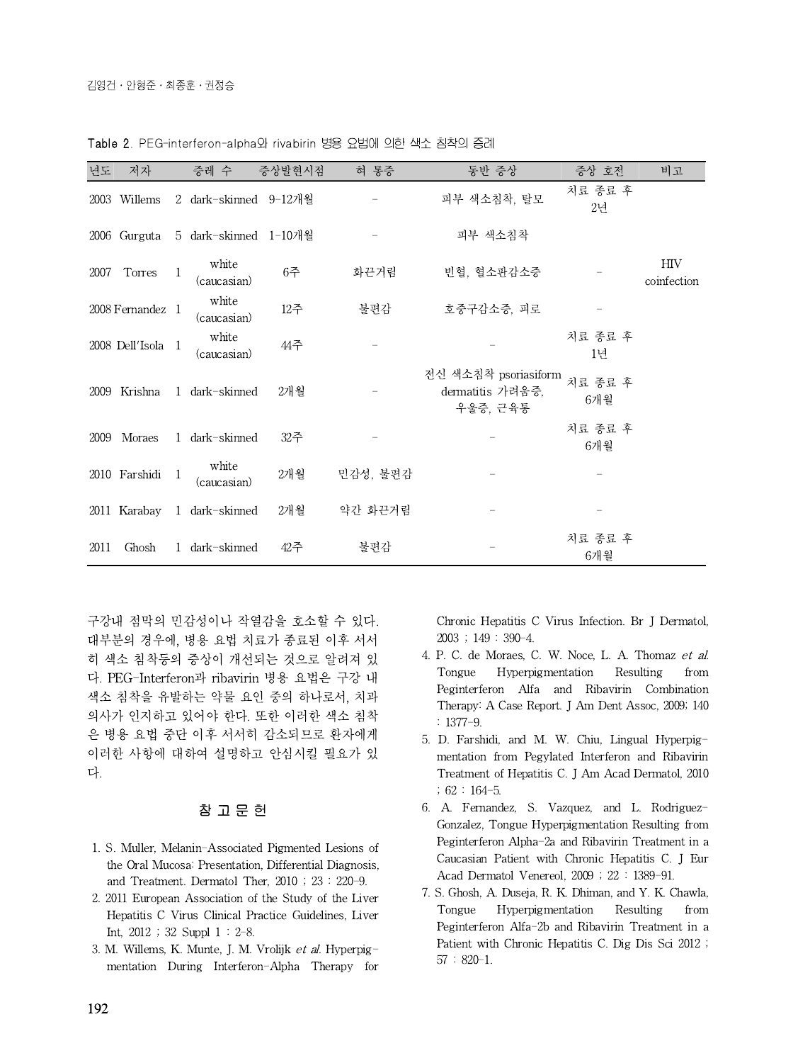| 년도   | 저자                | 증레 수                        | 증상발현시점 | 혀 통증     | 동반 증상                                                | 증상 호전                     | 비고                        |
|------|-------------------|-----------------------------|--------|----------|------------------------------------------------------|---------------------------|---------------------------|
|      | 2003 Willems      | 2 dark-skinned 9-12개월       |        |          | 피부 색소침착, 탈모                                          | 치료 종료 후<br>2 <sup>d</sup> |                           |
|      | 2006 Gurguta      | 5 dark-skinned 1-10개월       |        |          | 피부 색소침착                                              |                           |                           |
| 2007 | Torres            | white<br>(caucasian)        | 6주     | 화끈거림     | 빈혈, 혈소판감소증                                           |                           | $\rm{HIV}$<br>coinfection |
|      | 2008 Fernandez 1  | white<br>(caucasian)        | 12주    | 불편감      | 호중구감소증, 피로                                           |                           |                           |
|      | 2008 Dell'Isola 1 | white<br>(caucasian)        | 44주    |          |                                                      | 치료 종료 후<br>1년             |                           |
|      |                   | 2009 Krishna 1 dark-skinned | 2개월    |          | 전신 색소침착 psoriasiform<br>dermatitis 가려움증,<br>우울증, 근육통 | 치료 종료 후<br>6개월            |                           |
| 2009 | Moraes            | 1 dark-skinned              | 32주    |          |                                                      | 치료 종료 후<br>6개월            |                           |
|      | 2010 Farshidi     | white<br>(caucasian)        | 2개월    | 민감성, 불편감 |                                                      |                           |                           |
|      |                   | 2011 Karabay 1 dark-skinned | 2개월    | 약간 화끈거림  |                                                      |                           |                           |
| 2011 | Ghosh             | 1 dark-skinned              | 42주    | 불편감      |                                                      | 치료 종료 후<br>6개월            |                           |

Table 2. PEG-interferon-alpha와 rivabirin 병용 요법에 의한 색소 침착의 증례

구강내 점막의 민감성이나 작열감을 호소할 수 있다. 대부분의 경우에, 병용 요법 치료가 종료된 이후 서서 히 색소 침착등의 증상이 개선되는 것으로 알려져 있 4. P. C. de<br>디 PEC Interfacenz il whereight 변을 오버을 그간 yll Tongue 다. PEG-Interferon과 ribavirin 병용 요법은 구강 내 색소 침착을 유발하는 약물 요인 중의 하나로서, 치과 의사가 인지하고 있어야 한다. 또한 이러한 색소 침착 은 병용 요법 중단 이후 서서히 감소되므로 환자에게 이러한 사항에 대하여 설명하고 안심시킬 필요가 있 다.

#### 참 고 문 헌

- 1. S. Muller, Melanin-Associated Pigmented Lesions of the Oral Mucosa: Presentation, Differential Diagnosis, and Treatment. Dermatol Ther, 2010 ; 23 : 220-9.
- 2. 2011 European Association of the Study of the Liver Hepatitis C Virus Clinical Practice Guidelines, Liver Int, 2012 ; 32 Suppl 1 : 2-8.
- 3. M. Willems, K. Munte, J. M. Vrolijk et al. Hyperpigmentation During Interferon-Alpha Therapy for

Chronic Hepatitis C Virus Infection. Br J Dermatol, 2003 ; 149 : 390-4.

- 4. P. C. de Moraes, C. W. Noce, L. A. Thomaz et al. Hyperpigmentation Resulting from Peginterferon Alfa and Ribavirin Combination Therapy: A Case Report. J Am Dent Assoc, 2009; 140 : 1377-9.
- 5. D. Farshidi, and M. W. Chiu, Lingual Hyperpigmentation from Pegylated Interferon and Ribavirin Treatment of Hepatitis C. J Am Acad Dermatol, 2010 ; 62 : 164-5.
- 6. A. Fernandez, S. Vazquez, and L. Rodriguez-Gonzalez, Tongue Hyperpigmentation Resulting from Peginterferon Alpha-2a and Ribavirin Treatment in a Caucasian Patient with Chronic Hepatitis C. J Eur Acad Dermatol Venereol, 2009 ; 22 : 1389-91.
- 7. S. Ghosh, A. Duseja, R. K. Dhiman, and Y. K. Chawla, Tongue Hyperpigmentation Resulting from Peginterferon Alfa-2b and Ribavirin Treatment in a Patient with Chronic Hepatitis C. Dig Dis Sci 2012 ; 57 : 820-1.